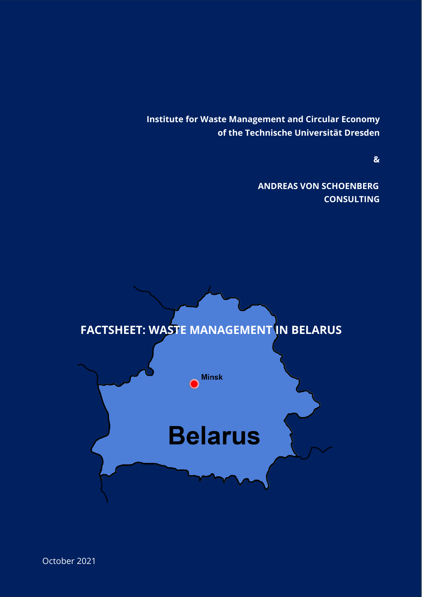**Institute for Waste Management and Circular Economy of the Technische Universität Dresden**

**&**

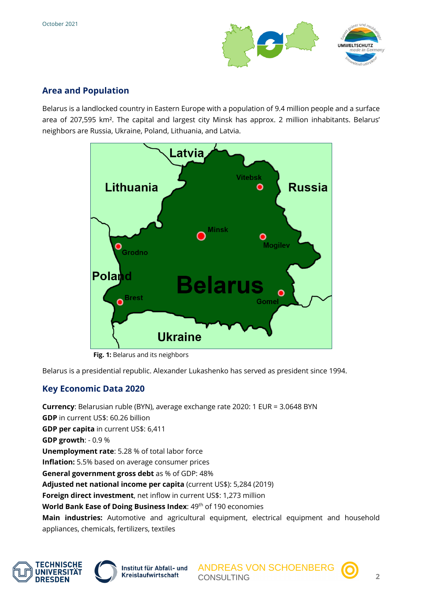

# **Area and Population**

Belarus is a landlocked country in Eastern Europe with a population of 9.4 million people and a surface area of 207,595 km². The capital and largest city Minsk has approx. 2 million inhabitants. Belarus' neighbors are Russia, Ukraine, Poland, Lithuania, and Latvia.



**Fig. 1:** Belarus and its neighbors

Belarus is a presidential republic. Alexander Lukashenko has served as president since 1994.

# **Key Economic Data 2020**

**Currency**: Belarusian ruble (BYN), average exchange rate 2020: 1 EUR = 3.0648 BYN **GDP** in current US\$: 60.26 billion **GDP per capita** in current US\$: 6,411 **GDP growth**: - 0.9 % **Unemployment rate**: 5.28 % of total labor force **Inflation:** 5.5% based on average consumer prices **General government gross debt** as % of GDP: 48% **Adjusted net national income per capita** (current US\$): 5,284 (2019) **Foreign direct investment**, net inflow in current US\$: 1,273 million **World Bank Ease of Doing Business Index: 49<sup>th</sup> of 190 economies Main industries:** Automotive and agricultural equipment, electrical equipment and household appliances, chemicals, fertilizers, textiles





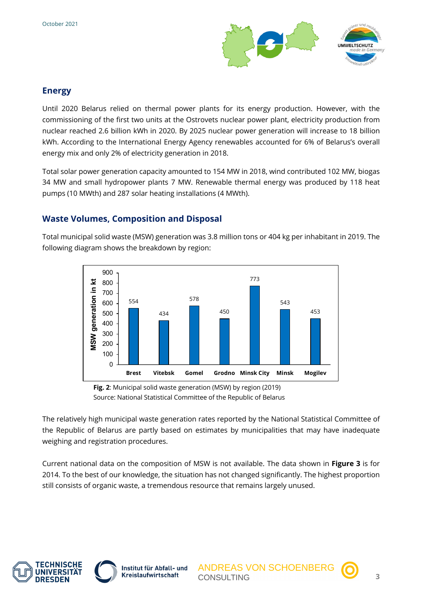

## **Energy**

Until 2020 Belarus relied on thermal power plants for its energy production. However, with the commissioning of the first two units at the Ostrovets nuclear power plant, electricity production from nuclear reached 2.6 billion kWh in 2020. By 2025 nuclear power generation will increase to 18 billion kWh. According to the International Energy Agency renewables accounted for 6% of Belarus's overall energy mix and only 2% of electricity generation in 2018.

Total solar power generation capacity amounted to 154 MW in 2018, wind contributed 102 MW, biogas 34 MW and small hydropower plants 7 MW. Renewable thermal energy was produced by 118 heat pumps (10 MWth) and 287 solar heating installations (4 MWth).

# **Waste Volumes, Composition and Disposal**

Total municipal solid waste (MSW) generation was 3.8 million tons or 404 kg per inhabitant in 2019. The following diagram shows the breakdown by region:



**Fig. 2**: Municipal solid waste generation (MSW) by region (2019) Source: National Statistical Committee of the Republic of Belarus

The relatively high municipal waste generation rates reported by the National Statistical Committee of the Republic of Belarus are partly based on estimates by municipalities that may have inadequate weighing and registration procedures.

Current national data on the composition of MSW is not available. The data shown in **Figure 3** is for 2014. To the best of our knowledge, the situation has not changed significantly. The highest proportion still consists of organic waste, a tremendous resource that remains largely unused.





Institut für Abfall- und **Kreislaufwirtschaft** 

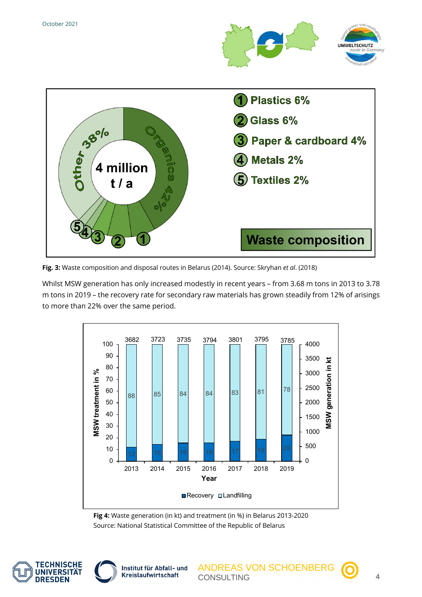



Whilst MSW generation has only increased modestly in recent years – from 3.68 m tons in 2013 to 3.78 m tons in 2019 – the recovery rate for secondary raw materials has grown steadily from 12% of arisings to more than 22% over the same period.



**Fig 4:** Waste generation (in kt) and treatment (in %) in Belarus 2013-2020 Source: National Statistical Committee of the Republic of Belarus





Institut für Abfall- und **Kreislaufwirtschaft** 

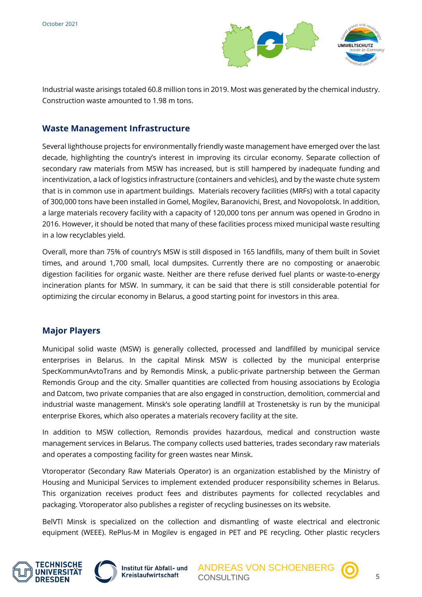

Industrial waste arisings totaled 60.8 million tons in 2019. Most was generated by the chemical industry. Construction waste amounted to 1.98 m tons.

### **Waste Management Infrastructure**

Several lighthouse projects for environmentally friendly waste management have emerged over the last decade, highlighting the country's interest in improving its circular economy. Separate collection of secondary raw materials from MSW has increased, but is still hampered by inadequate funding and incentivization, a lack of logistics infrastructure (containers and vehicles), and by the waste chute system that is in common use in apartment buildings. Materials recovery facilities (MRFs) with a total capacity of 300,000 tons have been installed in Gomel, Mogilev, Baranovichi, Brest, and Novopolotsk. In addition, a large materials recovery facility with a capacity of 120,000 tons per annum was opened in Grodno in 2016. However, it should be noted that many of these facilities process mixed municipal waste resulting in a low recyclables yield.

Overall, more than 75% of country's MSW is still disposed in 165 landfills, many of them built in Soviet times, and around 1,700 small, local dumpsites. Currently there are no composting or anaerobic digestion facilities for organic waste. Neither are there refuse derived fuel plants or waste-to-energy incineration plants for MSW. In summary, it can be said that there is still considerable potential for optimizing the circular economy in Belarus, a good starting point for investors in this area.

## **Major Players**

Municipal solid waste (MSW) is generally collected, processed and landfilled by municipal service enterprises in Belarus. In the capital Minsk MSW is collected by the municipal enterprise SpecKommunAvtoTrans and by Remondis Minsk, a public-private partnership between the German Remondis Group and the city. Smaller quantities are collected from housing associations by Ecologia and Datcom, two private companies that are also engaged in construction, demolition, commercial and industrial waste management. Minsk's sole operating landfill at Trostenetsky is run by the municipal enterprise Ekores, which also operates a materials recovery facility at the site.

In addition to MSW collection, Remondis provides hazardous, medical and construction waste management services in Belarus. The company collects used batteries, trades secondary raw materials and operates a composting facility for green wastes near Minsk.

Vtoroperator (Secondary Raw Materials Operator) is an organization established by the Ministry of Housing and Municipal Services to implement extended producer responsibility schemes in Belarus. This organization receives product fees and distributes payments for collected recyclables and packaging. Vtoroperator also publishes a register of recycling businesses on its website.

BelVTI Minsk is specialized on the collection and dismantling of waste electrical and electronic equipment (WEEE). RePlus-M in Mogilev is engaged in PET and PE recycling. Other plastic recyclers





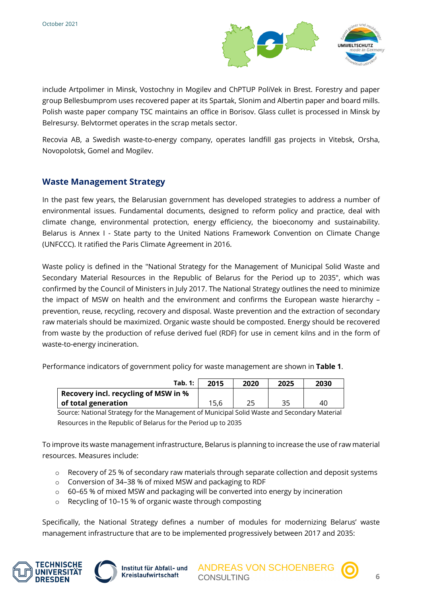

include Artpolimer in Minsk, Vostochny in Mogilev and ChPTUP PoliVek in Brest. Forestry and paper group Bellesbumprom uses recovered paper at its Spartak, Slonim and Albertin paper and board mills. Polish waste paper company TSC maintains an office in Borisov. Glass cullet is processed in Minsk by Belresursy. Belvtormet operates in the scrap metals sector.

Recovia AB, a Swedish waste-to-energy company, operates landfill gas projects in Vitebsk, Orsha, Novopolotsk, Gomel and Mogilev.

# **Waste Management Strategy**

In the past few years, the Belarusian government has developed strategies to address a number of environmental issues. Fundamental documents, designed to reform policy and practice, deal with climate change, environmental protection, energy efficiency, the bioeconomy and sustainability. Belarus is Annex I - State party to the United Nations Framework Convention on Climate Change (UNFCCC). It ratified the Paris Climate Agreement in 2016.

Waste policy is defined in the "National Strategy for the Management of Municipal Solid Waste and Secondary Material Resources in the Republic of Belarus for the Period up to 2035", which was confirmed by the Council of Ministers in July 2017. The National Strategy outlines the need to minimize the impact of MSW on health and the environment and confirms the European waste hierarchy – prevention, reuse, recycling, recovery and disposal. Waste prevention and the extraction of secondary raw materials should be maximized. Organic waste should be composted. Energy should be recovered from waste by the production of refuse derived fuel (RDF) for use in cement kilns and in the form of waste-to-energy incineration.

Performance indicators of government policy for waste management are shown in **Table 1**.

| <b>Tab. 1:</b>                              | 2015 | 2020 | 2025 | 2030 |
|---------------------------------------------|------|------|------|------|
| <b>Recovery incl. recycling of MSW in %</b> |      |      |      |      |
| of total generation                         | 15,6 |      | 35   | 40   |

Source: National Strategy for the Management of Municipal Solid Waste and Secondary Material Resources in the Republic of Belarus for the Period up to 2035

To improve its waste management infrastructure, Belarus is planning to increase the use of raw material resources. Measures include:

- $\circ$  Recovery of 25 % of secondary raw materials through separate collection and deposit systems
- o Conversion of 34–38 % of mixed MSW and packaging to RDF
- o 60–65 % of mixed MSW and packaging will be converted into energy by incineration
- o Recycling of 10–15 % of organic waste through composting

Specifically, the National Strategy defines a number of modules for modernizing Belarus' waste management infrastructure that are to be implemented progressively between 2017 and 2035:





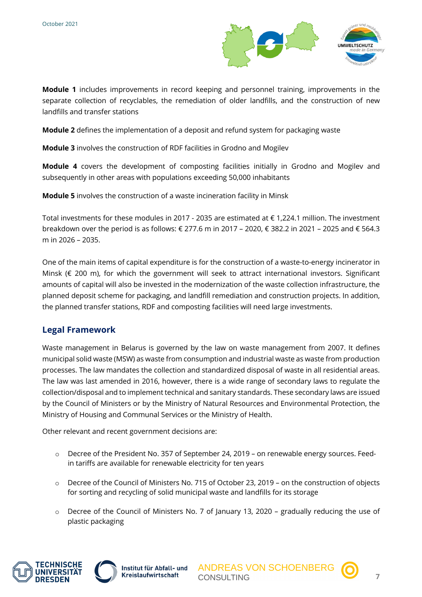

**Module 1** includes improvements in record keeping and personnel training, improvements in the separate collection of recyclables, the remediation of older landfills, and the construction of new landfills and transfer stations

**Module 2** defines the implementation of a deposit and refund system for packaging waste

**Module 3** involves the construction of RDF facilities in Grodno and Mogilev

**Module 4** covers the development of composting facilities initially in Grodno and Mogilev and subsequently in other areas with populations exceeding 50,000 inhabitants

**Module 5** involves the construction of a waste incineration facility in Minsk

Total investments for these modules in 2017 - 2035 are estimated at € 1,224.1 million. The investment breakdown over the period is as follows: € 277.6 m in 2017 – 2020, € 382.2 in 2021 – 2025 and € 564.3 m in 2026 – 2035.

One of the main items of capital expenditure is for the construction of a waste-to-energy incinerator in Minsk (€ 200 m), for which the government will seek to attract international investors. Significant amounts of capital will also be invested in the modernization of the waste collection infrastructure, the planned deposit scheme for packaging, and landfill remediation and construction projects. In addition, the planned transfer stations, RDF and composting facilities will need large investments.

## **Legal Framework**

Waste management in Belarus is governed by the law on waste management from 2007. It defines municipal solid waste (MSW) as waste from consumption and industrial waste as waste from production processes. The law mandates the collection and standardized disposal of waste in all residential areas. The law was last amended in 2016, however, there is a wide range of secondary laws to regulate the collection/disposal and to implement technical and sanitary standards. These secondary laws are issued by the Council of Ministers or by the Ministry of Natural Resources and Environmental Protection, the Ministry of Housing and Communal Services or the Ministry of Health.

Other relevant and recent government decisions are:

- o Decree of the President No. 357 of September 24, 2019 on renewable energy sources. Feedin tariffs are available for renewable electricity for ten years
- o Decree of the Council of Ministers No. 715 of October 23, 2019 on the construction of objects for sorting and recycling of solid municipal waste and landfills for its storage
- $\circ$  Decree of the Council of Ministers No. 7 of January 13, 2020 gradually reducing the use of plastic packaging





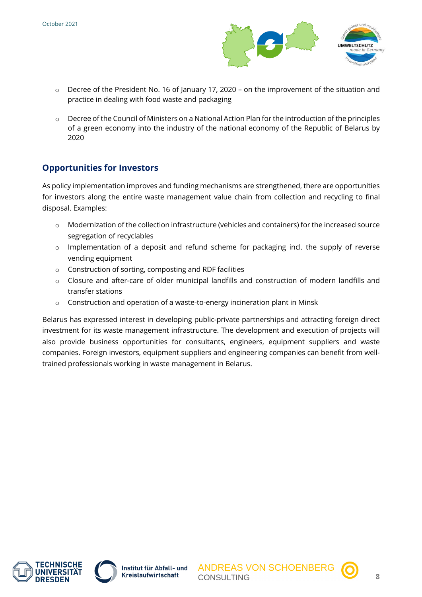

- o Decree of the President No. 16 of January 17, 2020 on the improvement of the situation and practice in dealing with food waste and packaging
- $\circ$  Decree of the Council of Ministers on a National Action Plan for the introduction of the principles of a green economy into the industry of the national economy of the Republic of Belarus by 2020

# **Opportunities for Investors**

As policy implementation improves and funding mechanisms are strengthened, there are opportunities for investors along the entire waste management value chain from collection and recycling to final disposal. Examples:

- o Modernization of the collection infrastructure (vehicles and containers) for the increased source segregation of recyclables
- $\circ$  Implementation of a deposit and refund scheme for packaging incl. the supply of reverse vending equipment
- o Construction of sorting, composting and RDF facilities
- o Closure and after-care of older municipal landfills and construction of modern landfills and transfer stations
- o Construction and operation of a waste-to-energy incineration plant in Minsk

Belarus has expressed interest in developing public-private partnerships and attracting foreign direct investment for its waste management infrastructure. The development and execution of projects will also provide business opportunities for consultants, engineers, equipment suppliers and waste companies. Foreign investors, equipment suppliers and engineering companies can benefit from welltrained professionals working in waste management in Belarus.





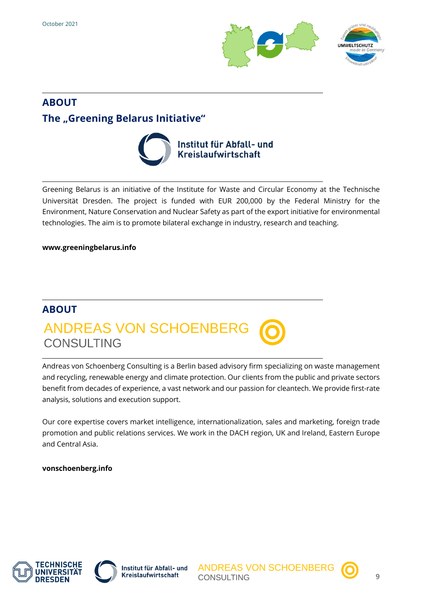

# **ABOUT The "Greening Belarus Initiative"**



Greening Belarus is an initiative of the Institute for Waste and Circular Economy at the Technische Universität Dresden. The project is funded with EUR 200,000 by the Federal Ministry for the Environment, Nature Conservation and Nuclear Safety as part of the export initiative for environmental technologies. The aim is to promote bilateral exchange in industry, research and teaching.

### **www.greeningbelarus.info**

# **ABOUT ANDREAS VON SCHOENBER CONSULTING**

Andreas von Schoenberg Consulting is a Berlin based advisory firm specializing on waste management and recycling, renewable energy and climate protection. Our clients from the public and private sectors benefit from decades of experience, a vast network and our passion for cleantech. We provide first-rate analysis, solutions and execution support.

Our core expertise covers market intelligence, internationalization, sales and marketing, foreign trade promotion and public relations services. We work in the DACH region, UK and Ireland, Eastern Europe and Central Asia.

#### **vonschoenberg.info**





Institut für Abfall- und **Kreislaufwirtschaft**